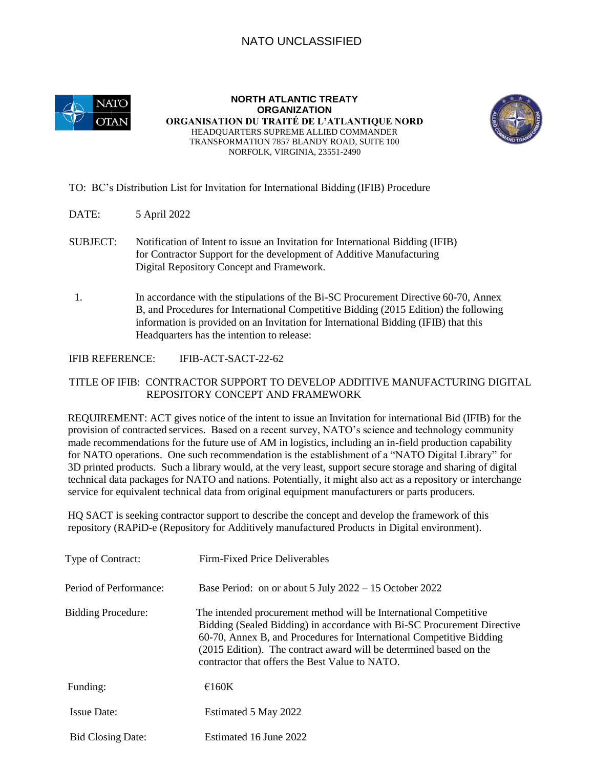# NATO UNCLASSIFIED



**NORTH ATLANTIC TREATY ORGANIZATION ORGANISATION DU TRAITÉ DE L'ATLANTIQUE NORD**  HEADQUARTERS SUPREME ALLIED COMMANDER TRANSFORMATION 7857 BLANDY ROAD, SUITE 100 NORFOLK, VIRGINIA, 23551-2490



#### TO: BC's Distribution List for Invitation for International Bidding (IFIB) Procedure

- DATE: 5 April 2022
- SUBJECT: Notification of Intent to issue an Invitation for International Bidding (IFIB) for Contractor Support for the development of Additive Manufacturing Digital Repository Concept and Framework.
- 1. In accordance with the stipulations of the Bi-SC Procurement Directive 60-70, Annex B, and Procedures for International Competitive Bidding (2015 Edition) the following information is provided on an Invitation for International Bidding (IFIB) that this Headquarters has the intention to release:

#### IFIB REFERENCE: IFIB-ACT-SACT-22-62

### TITLE OF IFIB: CONTRACTOR SUPPORT TO DEVELOP ADDITIVE MANUFACTURING DIGITAL REPOSITORY CONCEPT AND FRAMEWORK

REQUIREMENT: ACT gives notice of the intent to issue an Invitation for international Bid (IFIB) for the provision of contracted services. Based on a recent survey, NATO's science and technology community made recommendations for the future use of AM in logistics, including an in-field production capability for NATO operations. One such recommendation is the establishment of a "NATO Digital Library" for 3D printed products. Such a library would, at the very least, support secure storage and sharing of digital technical data packages for NATO and nations. Potentially, it might also act as a repository or interchange service for equivalent technical data from original equipment manufacturers or parts producers.

HQ SACT is seeking contractor support to describe the concept and develop the framework of this repository (RAPiD-e (Repository for Additively manufactured Products in Digital environment).

| Type of Contract:         | Firm-Fixed Price Deliverables                                                                                                                                                                                                                                                                                                                |
|---------------------------|----------------------------------------------------------------------------------------------------------------------------------------------------------------------------------------------------------------------------------------------------------------------------------------------------------------------------------------------|
| Period of Performance:    | Base Period: on or about $5 \text{ July } 2022 - 15 \text{ October } 2022$                                                                                                                                                                                                                                                                   |
| <b>Bidding Procedure:</b> | The intended procurement method will be International Competitive<br>Bidding (Sealed Bidding) in accordance with Bi-SC Procurement Directive<br>60-70, Annex B, and Procedures for International Competitive Bidding<br>(2015 Edition). The contract award will be determined based on the<br>contractor that offers the Best Value to NATO. |
| Funding:                  | $\epsilon$ 160K                                                                                                                                                                                                                                                                                                                              |
| <b>Issue Date:</b>        | Estimated 5 May 2022                                                                                                                                                                                                                                                                                                                         |
| <b>Bid Closing Date:</b>  | Estimated 16 June 2022                                                                                                                                                                                                                                                                                                                       |